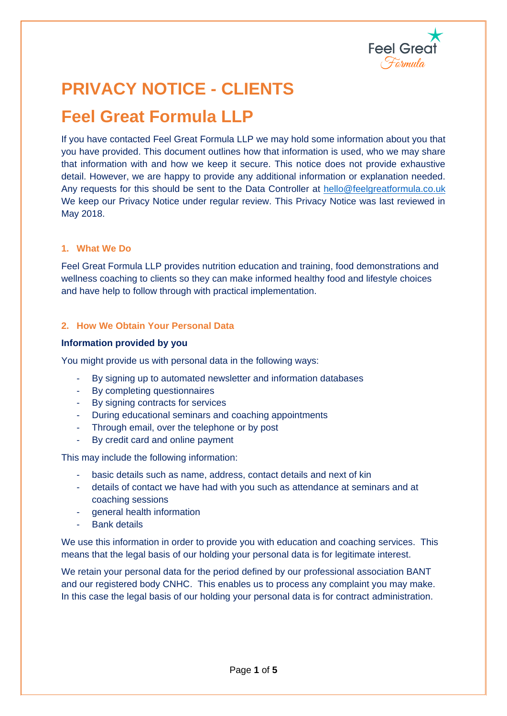

# **PRIVACY NOTICE - CLIENTS**

## **Feel Great Formula LLP**

If you have contacted Feel Great Formula LLP we may hold some information about you that you have provided. This document outlines how that information is used, who we may share that information with and how we keep it secure. This notice does not provide exhaustive detail. However, we are happy to provide any additional information or explanation needed. Any requests for this should be sent to the Data Controller at [hello@feelgreatformula.co.uk](mailto:hello@feelgreatformula.co.uk) We keep our Privacy Notice under regular review. This Privacy Notice was last reviewed in May 2018.

### **1. What We Do**

Feel Great Formula LLP provides nutrition education and training, food demonstrations and wellness coaching to clients so they can make informed healthy food and lifestyle choices and have help to follow through with practical implementation.

## **2. How We Obtain Your Personal Data**

### **Information provided by you**

You might provide us with personal data in the following ways:

- By signing up to automated newsletter and information databases
- By completing questionnaires
- By signing contracts for services
- During educational seminars and coaching appointments
- Through email, over the telephone or by post
- By credit card and online payment

This may include the following information:

- basic details such as name, address, contact details and next of kin
- details of contact we have had with you such as attendance at seminars and at coaching sessions
- general health information
- **Bank details**

We use this information in order to provide you with education and coaching services. This means that the legal basis of our holding your personal data is for legitimate interest.

We retain your personal data for the period defined by our professional association BANT and our registered body CNHC. This enables us to process any complaint you may make. In this case the legal basis of our holding your personal data is for contract administration.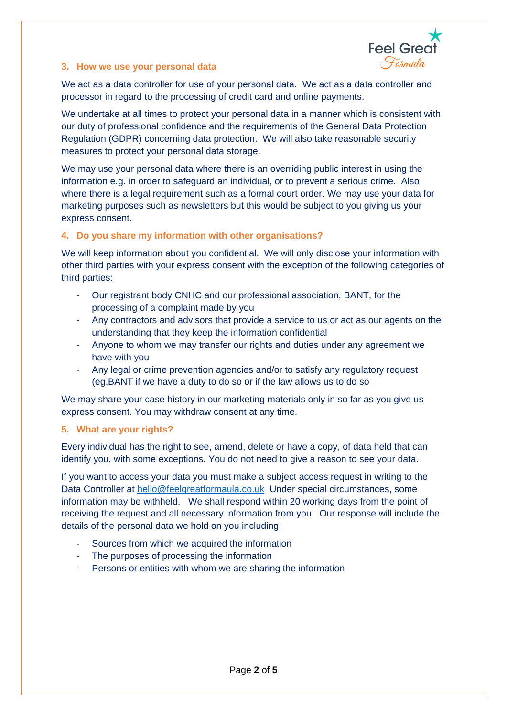

### **3. How we use your personal data**

We act as a data controller for use of your personal data. We act as a data controller and processor in regard to the processing of credit card and online payments.

We undertake at all times to protect your personal data in a manner which is consistent with our duty of professional confidence and the requirements of the General Data Protection Regulation (GDPR) concerning data protection. We will also take reasonable security measures to protect your personal data storage.

We may use your personal data where there is an overriding public interest in using the information e.g. in order to safeguard an individual, or to prevent a serious crime. Also where there is a legal requirement such as a formal court order. We may use your data for marketing purposes such as newsletters but this would be subject to you giving us your express consent.

## **4. Do you share my information with other organisations?**

We will keep information about you confidential. We will only disclose your information with other third parties with your express consent with the exception of the following categories of third parties:

- Our registrant body CNHC and our professional association, BANT, for the processing of a complaint made by you
- Any contractors and advisors that provide a service to us or act as our agents on the understanding that they keep the information confidential
- Anyone to whom we may transfer our rights and duties under any agreement we have with you
- Any legal or crime prevention agencies and/or to satisfy any regulatory request (eg,BANT if we have a duty to do so or if the law allows us to do so

We may share your case history in our marketing materials only in so far as you give us express consent. You may withdraw consent at any time.

### **5. What are your rights?**

Every individual has the right to see, amend, delete or have a copy, of data held that can identify you, with some exceptions. You do not need to give a reason to see your data.

If you want to access your data you must make a subject access request in writing to the Data Controller at [hello@feelgreatformaula.co.uk](mailto:hello@feelgreatformaula.co.uk) Under special circumstances, some information may be withheld. We shall respond within 20 working days from the point of receiving the request and all necessary information from you. Our response will include the details of the personal data we hold on you including:

- Sources from which we acquired the information
- The purposes of processing the information
- Persons or entities with whom we are sharing the information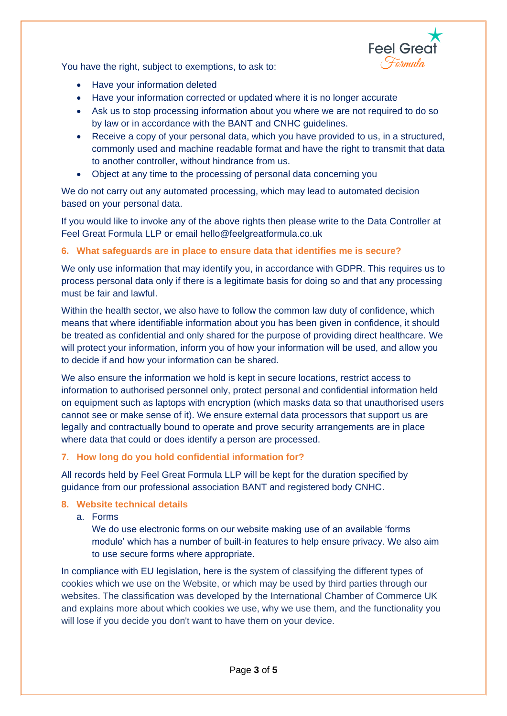

You have the right, subject to exemptions, to ask to:

- Have your information deleted
- Have your information corrected or updated where it is no longer accurate
- Ask us to stop processing information about you where we are not required to do so by law or in accordance with the BANT and CNHC guidelines.
- Receive a copy of your personal data, which you have provided to us, in a structured, commonly used and machine readable format and have the right to transmit that data to another controller, without hindrance from us.
- Object at any time to the processing of personal data concerning you

We do not carry out any automated processing, which may lead to automated decision based on your personal data.

If you would like to invoke any of the above rights then please write to the Data Controller at Feel Great Formula LLP or email hello@feelgreatformula.co.uk

## **6. What safeguards are in place to ensure data that identifies me is secure?**

We only use information that may identify you, in accordance with GDPR. This requires us to process personal data only if there is a legitimate basis for doing so and that any processing must be fair and lawful.

Within the health sector, we also have to follow the common law duty of confidence, which means that where identifiable information about you has been given in confidence, it should be treated as confidential and only shared for the purpose of providing direct healthcare. We will protect your information, inform you of how your information will be used, and allow you to decide if and how your information can be shared.

We also ensure the information we hold is kept in secure locations, restrict access to information to authorised personnel only, protect personal and confidential information held on equipment such as laptops with encryption (which masks data so that unauthorised users cannot see or make sense of it). We ensure external data processors that support us are legally and contractually bound to operate and prove security arrangements are in place where data that could or does identify a person are processed.

## **7. How long do you hold confidential information for?**

All records held by Feel Great Formula LLP will be kept for the duration specified by guidance from our professional association BANT and registered body CNHC.

### **8. Website technical details**

a. Forms

We do use electronic forms on our website making use of an available 'forms module' which has a number of built-in features to help ensure privacy. We also aim to use secure forms where appropriate.

In compliance with EU legislation, here is the system of classifying the different types of cookies which we use on the Website, or which may be used by third parties through our websites. The classification was developed by the International Chamber of Commerce UK and explains more about which cookies we use, why we use them, and the functionality you will lose if you decide you don't want to have them on your device.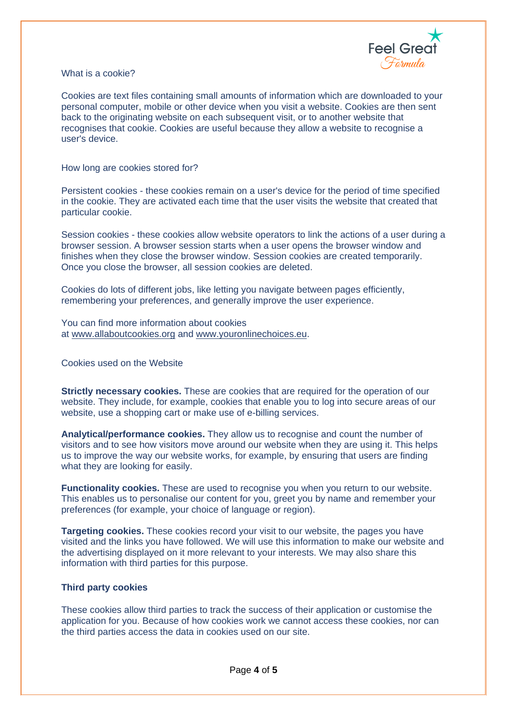

What is a cookie?

Cookies are text files containing small amounts of information which are downloaded to your personal computer, mobile or other device when you visit a website. Cookies are then sent back to the originating website on each subsequent visit, or to another website that recognises that cookie. Cookies are useful because they allow a website to recognise a user's device.

How long are cookies stored for?

Persistent cookies - these cookies remain on a user's device for the period of time specified in the cookie. They are activated each time that the user visits the website that created that particular cookie.

Session cookies - these cookies allow website operators to link the actions of a user during a browser session. A browser session starts when a user opens the browser window and finishes when they close the browser window. Session cookies are created temporarily. Once you close the browser, all session cookies are deleted.

Cookies do lots of different jobs, like letting you navigate between pages efficiently, remembering your preferences, and generally improve the user experience.

You can find more information about cookies at [www.allaboutcookies.org](http://www.allaboutcookies.org/) and [www.youronlinechoices.eu.](http://www.youronlinechoices.eu/)

Cookies used on the Website

**Strictly necessary cookies.** These are cookies that are required for the operation of our website. They include, for example, cookies that enable you to log into secure areas of our website, use a shopping cart or make use of e-billing services.

**Analytical/performance cookies.** They allow us to recognise and count the number of visitors and to see how visitors move around our website when they are using it. This helps us to improve the way our website works, for example, by ensuring that users are finding what they are looking for easily.

**Functionality cookies.** These are used to recognise you when you return to our website. This enables us to personalise our content for you, greet you by name and remember your preferences (for example, your choice of language or region).

**Targeting cookies.** These cookies record your visit to our website, the pages you have visited and the links you have followed. We will use this information to make our website and the advertising displayed on it more relevant to your interests. We may also share this information with third parties for this purpose.

#### **Third party cookies**

These cookies allow third parties to track the success of their application or customise the application for you. Because of how cookies work we cannot access these cookies, nor can the third parties access the data in cookies used on our site.